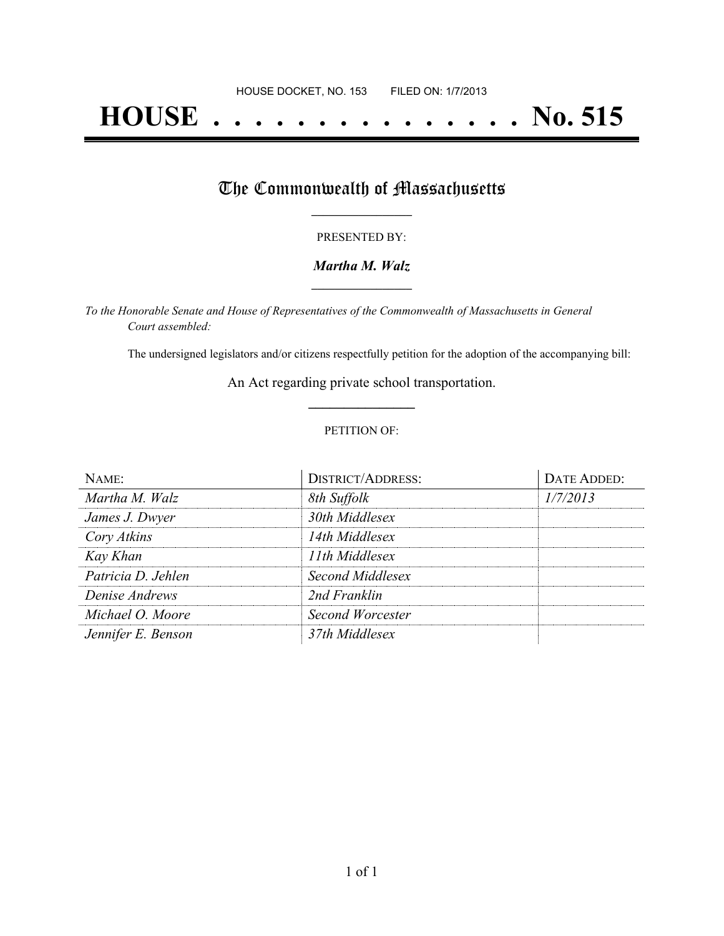# **HOUSE . . . . . . . . . . . . . . . No. 515**

## The Commonwealth of Massachusetts

#### PRESENTED BY:

#### *Martha M. Walz* **\_\_\_\_\_\_\_\_\_\_\_\_\_\_\_\_\_**

*To the Honorable Senate and House of Representatives of the Commonwealth of Massachusetts in General Court assembled:*

The undersigned legislators and/or citizens respectfully petition for the adoption of the accompanying bill:

An Act regarding private school transportation. **\_\_\_\_\_\_\_\_\_\_\_\_\_\_\_**

#### PETITION OF:

| NAME:              | <b>DISTRICT/ADDRESS:</b> | DATE ADDED: |
|--------------------|--------------------------|-------------|
| Martha M. Walz     | 8th Suffolk              | 1/7/2013    |
| James J. Dwyer     | 30th Middlesex           |             |
| Cory Atkins        | 14th Middlesex           |             |
| Kay Khan           | 11th Middlesex           |             |
| Patricia D. Jehlen | Second Middlesex         |             |
| Denise Andrews     | 2nd Franklin             |             |
| Michael O. Moore   | <b>Second Worcester</b>  |             |
| Jennifer E. Benson | 37th Middlesex           |             |